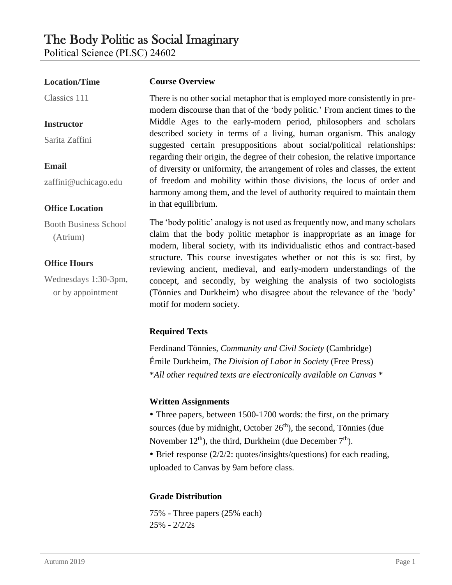# The Body Politic as Social Imaginary

**Course Overview**

Political Science (PLSC) 24602

#### **Location/Time**

Classics 111

#### **Instructor**

Sarita Zaffini

# **Email**

zaffini@uchicago.edu

#### **Office Location**

Booth Business School (Atrium)

### **Office Hours**

Wednesdays 1:30-3pm, or by appointment

There is no other social metaphor that is employed more consistently in premodern discourse than that of the 'body politic.' From ancient times to the Middle Ages to the early-modern period, philosophers and scholars described society in terms of a living, human organism. This analogy suggested certain presuppositions about social/political relationships: regarding their origin, the degree of their cohesion, the relative importance of diversity or uniformity, the arrangement of roles and classes, the extent of freedom and mobility within those divisions, the locus of order and harmony among them, and the level of authority required to maintain them in that equilibrium.

The 'body politic' analogy is not used as frequently now, and many scholars claim that the body politic metaphor is inappropriate as an image for modern, liberal society, with its individualistic ethos and contract-based structure. This course investigates whether or not this is so: first, by reviewing ancient, medieval, and early-modern understandings of the concept, and secondly, by weighing the analysis of two sociologists (Tönnies and Durkheim) who disagree about the relevance of the 'body' motif for modern society.

# **Required Texts**

Ferdinand Tönnies, *Community and Civil Society* (Cambridge) Émile Durkheim, *The Division of Labor in Society* (Free Press) \**All other required texts are electronically available on Canvas* \*

### **Written Assignments**

• Three papers, between 1500-1700 words: the first, on the primary sources (due by midnight, October  $26<sup>th</sup>$ ), the second, Tönnies (due November  $12^{th}$ ), the third, Durkheim (due December  $7^{th}$ ).

• Brief response (2/2/2: quotes/insights/questions) for each reading, uploaded to Canvas by 9am before class.

# **Grade Distribution**

75% - Three papers (25% each) 25% - 2/2/2s